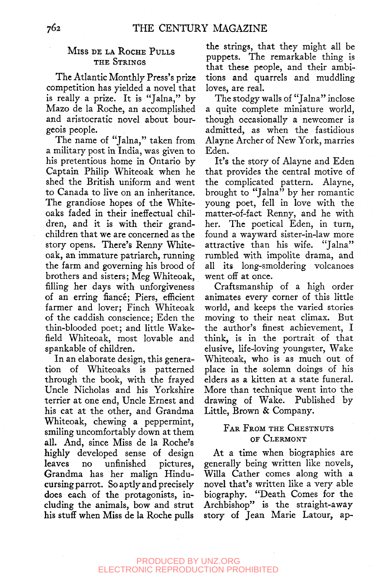## MISS DE LA ROCHE PULLS THE STRINGS

The Atlantic Monthly Press's prize competition has yielded a novel that is really a prize. It is "Jalna," by Mazo de la Roche, an accomplished and aristocratic novel about bourgeois people.

The name of "Jalna," taken from a military post in India, was given to his pretentious home in Ontario by Captain Philip Whiteoak when he shed the British uniform and went to Canada to live on an inheritance. The grandiose hopes of the Whiteoaks faded in their ineffectual children, and it is with their grandchildren that we are concerned as the story opens. There's Renny Whiteoak, an immature patriarch, running the farm and governing his brood of brothers and sisters; Meg Whiteoak, filling her days with unforgiveness of an erring fiance; Piers, efficient farmer and lover; Finch Whiteoak of the caddish conscience; Eden the thin-blooded poet; and little Wakefield Whiteoak, most lovable and spankable of children.

In an elaborate design, this generation of Whiteoaks is patterned through the book, with the frayed Uncle Nicholas and his Yorkshire terrier at one end. Uncle Ernest and his cat at the other, and Grandma Whiteoak, chewing a peppermint, smiling uncomfortably down at them all. And, since Miss de la Roche's highly developed sense of design leaves no unfinished pictures, Grandma has her malign Hinducursing parrot. So aptly and precisely does each of the protagonists, including the animals, bow and strut his stuff when Miss de la Roche pulls the strings, that they might all be puppets. The remarkable thing is that these people, and their ambitions and quarrels and muddling loves, are real.

The stodgy walls of "Jalna" inclose a quite complete miniature world, though occasionally a newcomer is admitted, as when the fastidious Alayne Archer of New York, marries Eden.

It's the story of Alayne and Eden that provides the central motive of the complicated pattern. Alayne, brought to "Jalna" by her romantic young poet, fell in love with the matter-of-fact Renny, and he with her. The poetical Eden, in turn, found a wayward sister-in-law more attractive than his wife. "Jalna" rumbled with impolite drama, and all its long-smoldering volcanoes went off at once.

Craftsmanship of a high order animates every corner of this little world, and keeps the varied stories moving to their neat climax. But the author's finest achievement, I think, is in the portrait of that elusive, life-loving youngster, Wake Whiteoak, who is as much out of place in the solemn doings of his elders as a kitten at a state funeral. More than technique went into the drawing of Wake. Published by Little, Brown & Company.

## FAR FROM THE CHESTNUTS OF CLERMONT

At a time when biographies are generally being written like novels, Willa Gather comes along with a novel that's written like a very able biography. "Death Comes for the Archbishop" is the straight-away story of Jean Marie Latour, ap